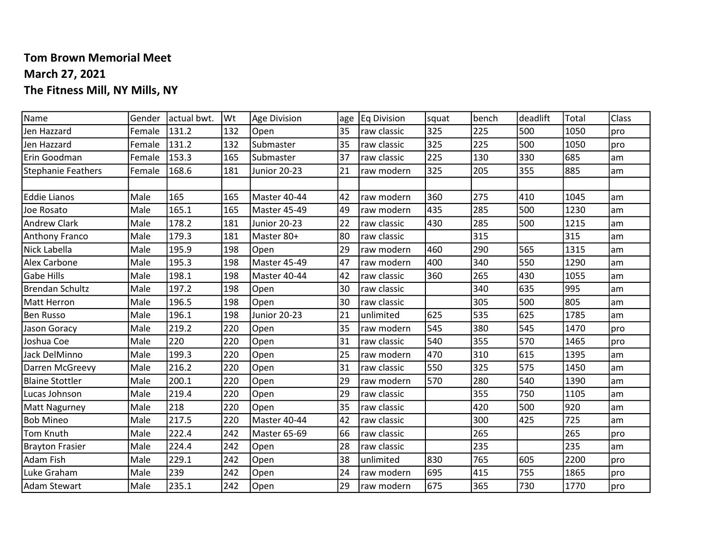## Tom Brown Memorial Meet March 27, 2021 The Fitness Mill, NY Mills, NY

| Name                   | Gender | actual bwt. | lWt | Age Division | age | <b>Eq Division</b> | squat | bench | deadlift | Total | Class |
|------------------------|--------|-------------|-----|--------------|-----|--------------------|-------|-------|----------|-------|-------|
| Jen Hazzard            | Female | 131.2       | 132 | Open         | 35  | raw classic        | 325   | 225   | 500      | 1050  | pro   |
| Jen Hazzard            | Female | 131.2       | 132 | Submaster    | 35  | raw classic        | 325   | 225   | 500      | 1050  | pro   |
| Erin Goodman           | Female | 153.3       | 165 | Submaster    | 37  | raw classic        | 225   | 130   | 330      | 685   | am    |
| Stephanie Feathers     | Female | 168.6       | 181 | Junior 20-23 | 21  | raw modern         | 325   | 205   | 355      | 885   | lam   |
|                        |        |             |     |              |     |                    |       |       |          |       |       |
| <b>Eddie Lianos</b>    | Male   | 165         | 165 | Master 40-44 | 42  | raw modern         | 360   | 275   | 410      | 1045  | lam   |
| Joe Rosato             | Male   | 165.1       | 165 | Master 45-49 | 49  | raw modern         | 435   | 285   | 500      | 1230  | lam   |
| <b>Andrew Clark</b>    | Male   | 178.2       | 181 | Junior 20-23 | 22  | raw classic        | 430   | 285   | 500      | 1215  | lam   |
| Anthony Franco         | Male   | 179.3       | 181 | Master 80+   | 80  | raw classic        |       | 315   |          | 315   | lam   |
| Nick Labella           | Male   | 195.9       | 198 | Open         | 29  | raw modern         | 460   | 290   | 565      | 1315  | lam   |
| <b>Alex Carbone</b>    | Male   | 195.3       | 198 | Master 45-49 | 47  | raw modern         | 400   | 340   | 550      | 1290  | lam   |
| <b>Gabe Hills</b>      | Male   | 198.1       | 198 | Master 40-44 | 42  | raw classic        | 360   | 265   | 430      | 1055  | lam   |
| <b>Brendan Schultz</b> | Male   | 197.2       | 198 | Open         | 30  | raw classic        |       | 340   | 635      | 995   | lam   |
| <b>Matt Herron</b>     | Male   | 196.5       | 198 | Open         | 30  | raw classic        |       | 305   | 500      | 805   | lam   |
| <b>Ben Russo</b>       | Male   | 196.1       | 198 | Junior 20-23 | 21  | unlimited          | 625   | 535   | 625      | 1785  | lam   |
| Jason Goracy           | Male   | 219.2       | 220 | Open         | 35  | raw modern         | 545   | 380   | 545      | 1470  | pro   |
| Joshua Coe             | Male   | 220         | 220 | Open         | 31  | raw classic        | 540   | 355   | 570      | 1465  | pro   |
| Jack DelMinno          | Male   | 199.3       | 220 | Open         | 25  | raw modern         | 470   | 310   | 615      | 1395  | lam   |
| Darren McGreevy        | Male   | 216.2       | 220 | Open         | 31  | raw classic        | 550   | 325   | 575      | 1450  | lam   |
| <b>Blaine Stottler</b> | Male   | 200.1       | 220 | Open         | 29  | raw modern         | 570   | 280   | 540      | 1390  | lam   |
| Lucas Johnson          | Male   | 219.4       | 220 | Open         | 29  | raw classic        |       | 355   | 750      | 1105  | lam   |
| <b>Matt Nagurney</b>   | Male   | 218         | 220 | Open         | 35  | raw classic        |       | 420   | 500      | 920   | lam   |
| <b>Bob Mineo</b>       | Male   | 217.5       | 220 | Master 40-44 | 42  | raw classic        |       | 300   | 425      | 725   | lam   |
| Tom Knuth              | Male   | 222.4       | 242 | Master 65-69 | 66  | raw classic        |       | 265   |          | 265   | pro   |
| <b>Brayton Frasier</b> | Male   | 224.4       | 242 | Open         | 28  | raw classic        |       | 235   |          | 235   | lam   |
| <b>Adam Fish</b>       | Male   | 229.1       | 242 | Open         | 38  | unlimited          | 830   | 765   | 605      | 2200  | pro   |
| Luke Graham            | Male   | 239         | 242 | Open         | 24  | raw modern         | 695   | 415   | 755      | 1865  | pro   |
| <b>Adam Stewart</b>    | Male   | 235.1       | 242 | Open         | 29  | raw modern         | 675   | 365   | 730      | 1770  | pro   |